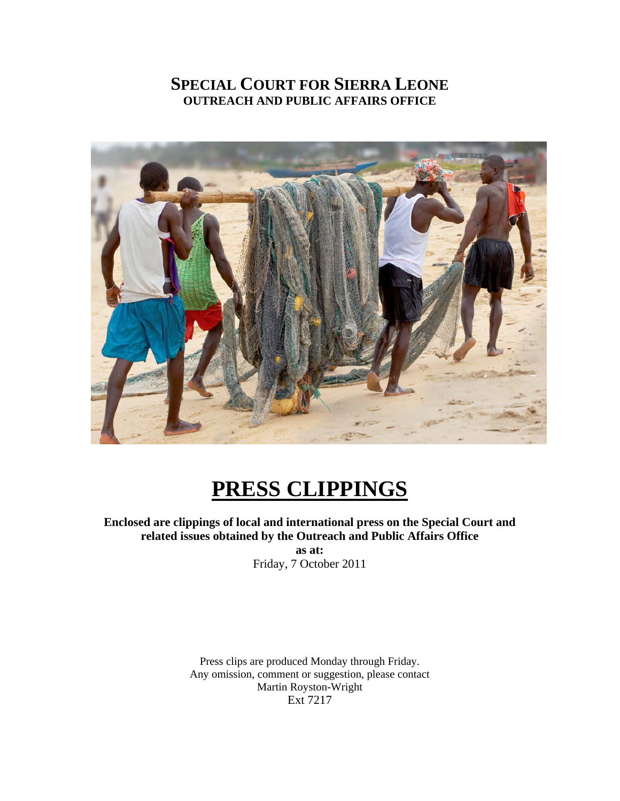### **SPECIAL COURT FOR SIERRA LEONE OUTREACH AND PUBLIC AFFAIRS OFFICE**



## **PRESS CLIPPINGS**

**Enclosed are clippings of local and international press on the Special Court and related issues obtained by the Outreach and Public Affairs Office** 

**as at:**  Friday, 7 October 2011

Press clips are produced Monday through Friday. Any omission, comment or suggestion, please contact Martin Royston-Wright Ext 7217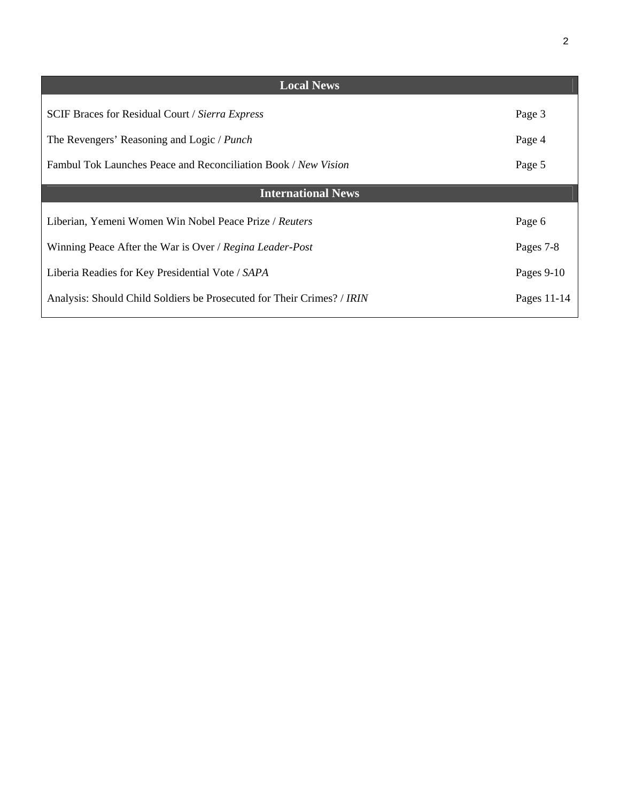| <b>Local News</b>                                                      |              |
|------------------------------------------------------------------------|--------------|
| <b>SCIF Braces for Residual Court / Sierra Express</b>                 | Page 3       |
| The Revengers' Reasoning and Logic / Punch                             | Page 4       |
| Fambul Tok Launches Peace and Reconciliation Book / New Vision         | Page 5       |
| <b>International News</b>                                              |              |
| Liberian, Yemeni Women Win Nobel Peace Prize / Reuters                 | Page 6       |
| Winning Peace After the War is Over / Regina Leader-Post               | Pages 7-8    |
| Liberia Readies for Key Presidential Vote / SAPA                       | Pages $9-10$ |
| Analysis: Should Child Soldiers be Prosecuted for Their Crimes? / IRIN | Pages 11-14  |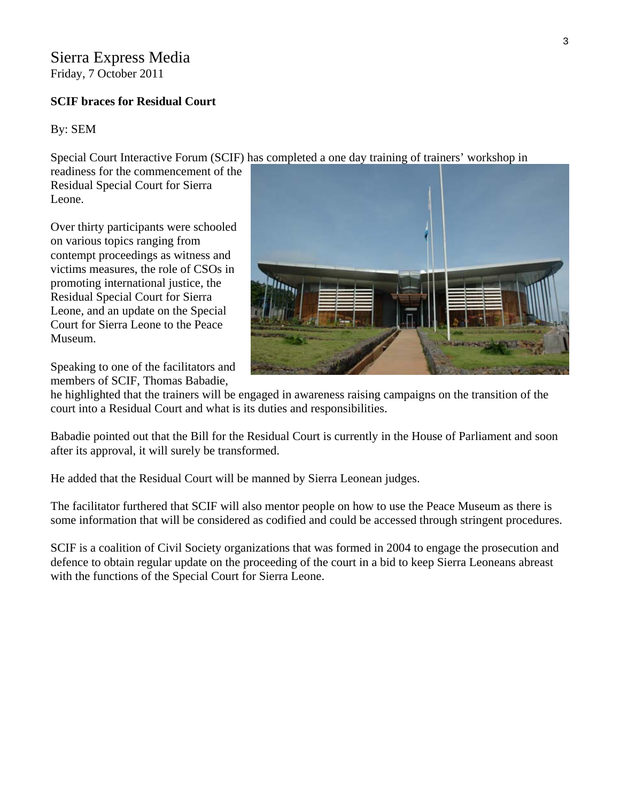### Sierra Express Media

Friday, 7 October 2011

### **SCIF braces for Residual Court**

### By: SEM

Special Court Interactive Forum (SCIF) has completed a one day training of trainers' workshop in

readiness for the commencement of t he Residual Special Court for Sierra Leone.

Over thirty participants were schooled on various topics ranging from contempt proceedings as witness and victims measures, the role of CSOs in promoting international justice, the Residual Special Court for Sierra Leone, and an update on the Special Court for Sierra Leone to the Peace Museum.

Speaking to one of the facilitators and members of SCIF, Thomas Babadie,



he highlighted that the trainers will be engaged in awareness raising campaigns on the transition of the court into a Residual Court and what is its duties and responsibilities.

Babadie pointed out that the Bill for the Residual Court is currently in the House of Parliament and soon after its approval, it will surely be transformed.

He added that the Residual Court will be manned by Sierra Leonean judges.

The facilitator furthered that SCIF will also mentor people on how to use the Peace Museum as there is some information that will be considered as codified and could be accessed through stringent procedures.

SCIF is a coalition of Civil Society organizations that was formed in 2004 to engage the prosecution and defence to obtain regular update on the proceeding of the court in a bid to keep Sierra Leoneans abreast with the functions of the Special Court for Sierra Leone.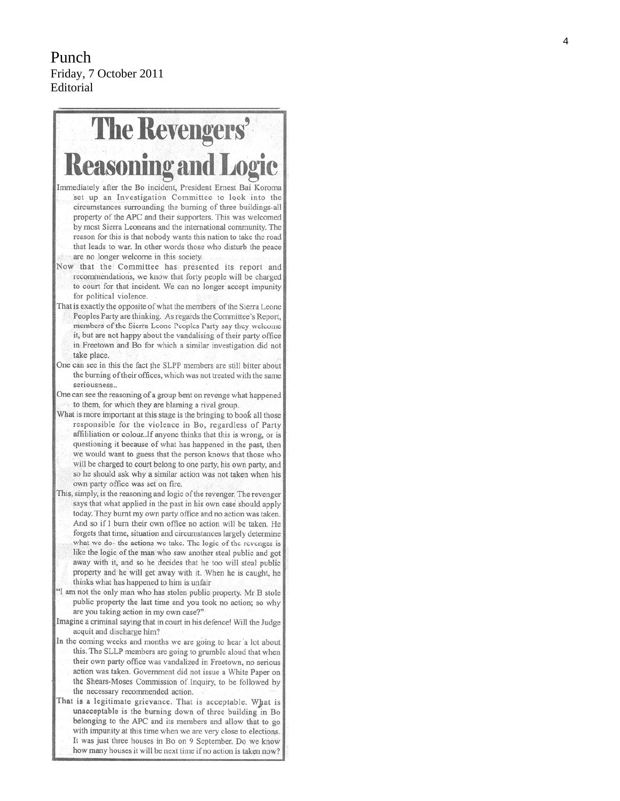### Punch Friday, 7 October 2011 Editorial

# **The Revengers' Reasoning a**

- Immediately after the Bo incident, President Ernest Bai Koroma set up an Investigation Committee to look into the circumstances surrounding the burning of three buildings-all property of the APC and their supporters. This was welcomed by most Sierra Leoneans and the international community. The reason for this is that nobody wants this nation to take the road that leads to war. In other words those who disturb the peace are no longer welcome in this society.
- Now that the Committee has presented its report and recommendations, we know that forty people will be charged to court for that incident. We can no longer accept impunity for political violence.
- That is exactly the opposite of what the members of the Sierra Leone Peoples Party are thinking. As regards the Committee's Report, members of the Sierra Leone Peoples Party say they welcome it, but are not happy about the vandalising of their party office in Freetown and Bo for which a similar investigation did not take place.
- One can see in this the fact the SLPP members are still bitter about the burning of their offices, which was not treated with the same seriousness...
- One can see the reasoning of a group bent on revenge what happened to them, for which they are blaming a rival group.
- What is more important at this stage is the bringing to book all those responsible for the violence in Bo, regardless of Party affililiation or colour. If anyone thinks that this is wrong, or is questioning it because of what has happened in the past, then we would want to guess that the person knows that those who will be charged to court belong to one party, his own party, and so he should ask why a similar action was not taken when his own party office was set on fire.
- This, simply, is the reasoning and logic of the revenger. The revenger says that what applied in the past in his own case should apply today. They burnt my own party office and no action was taken. And so if I burn their own office no action will be taken. He forgets that time, situation and circumstances largely determine what we do- the actions we take. The logic of the revenger is like the logic of the man who saw another steal public and got away with it, and so he decides that he too will steal public property and he will get away with it. When he is caught, he thinks what has happened to him is unfair
- "I am not the only man who has stolen public property. Mr B stole public property the last time and you took no action; so why are you taking action in my own case?"
- Imagine a criminal saying that in court in his defence! Will the Judge acquit and discharge him?
- In the coming weeks and months we are going to hear a lot about this. The SLLP members are going to grumble aloud that when their own party office was vandalized in Freetown, no serious action was taken. Government did not issue a White Paper on the Shears-Moses Commission of Inquiry, to be followed by the necessary recommended action.
- That is a legitimate grievance. That is acceptable. What is unacceptable is the burning down of three building in Bo belonging to the APC and its members and allow that to go with impunity at this time when we are very close to elections. It was just three houses in Bo on 9 September. Do we know how many houses it will be next time if no action is taken now?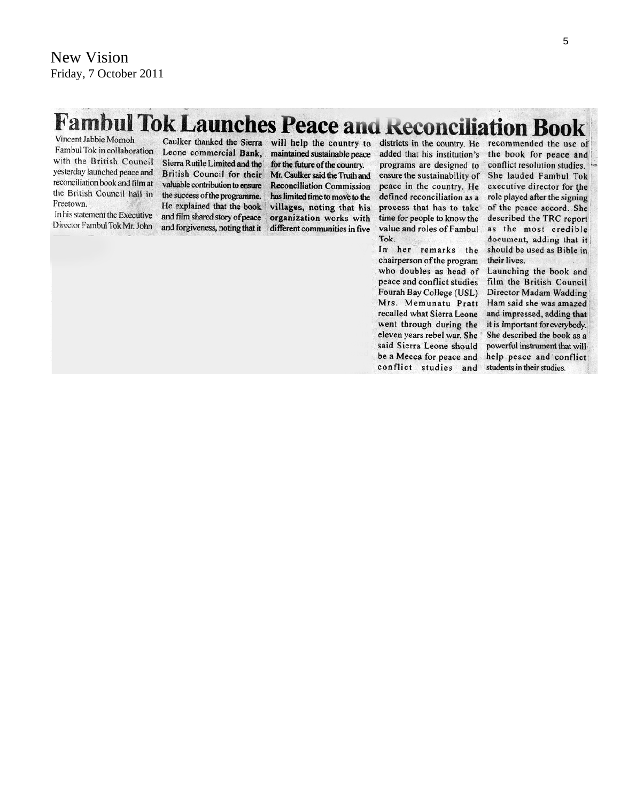# **Fambul Tok Launches Peace and Reconciliation Book**

Vincent Jabbie Momoh Fambul Tok in collaboration with the British Council yesterday launched peace and reconciliation book and film at the British Council hall in Freetown.

In his statement the Executive Director Fambul Tok Mr. John

Caulker thanked the Sierra Leone commercial Bank. Sierra Rutile Limited and the British Council for their valuable contribution to ensure the success of the programme. He explained that the book and film shared story of peace and forgiveness, noting that it

will help the country to maintained sustainable peace for the future of the country. Mr. Caulker said the Truth and **Reconciliation Commission** has limited time to move to the villages, noting that his organization works with different communities in five

districts in the country. He added that his institution's programs are designed to ensure the sustainability of peace in the country. He defined reconciliation as a process that has to take time for people to know the value and roles of Fambul Tok.

In her remarks the chairperson of the program who doubles as head of peace and conflict studies Fourah Bay College (USL) Mrs. Memunatu Pratt recalled what Sierra Leone went through during the eleven years rebel war. She said Sierra Leone should be a Mecca for peace and conflict studies and

recommended the use of the book for peace and conflict resolution studies. She lauded Fambul Tok executive director for the role played after the signing of the peace accord. She described the TRC report as the most credible document, adding that it should be used as Bible in their lives.

Launching the book and film the British Council Director Madam Wadding Ham said she was amazed and impressed, adding that it is important for everybody. She described the book as a powerful instrument that will help peace and conflict students in their studies.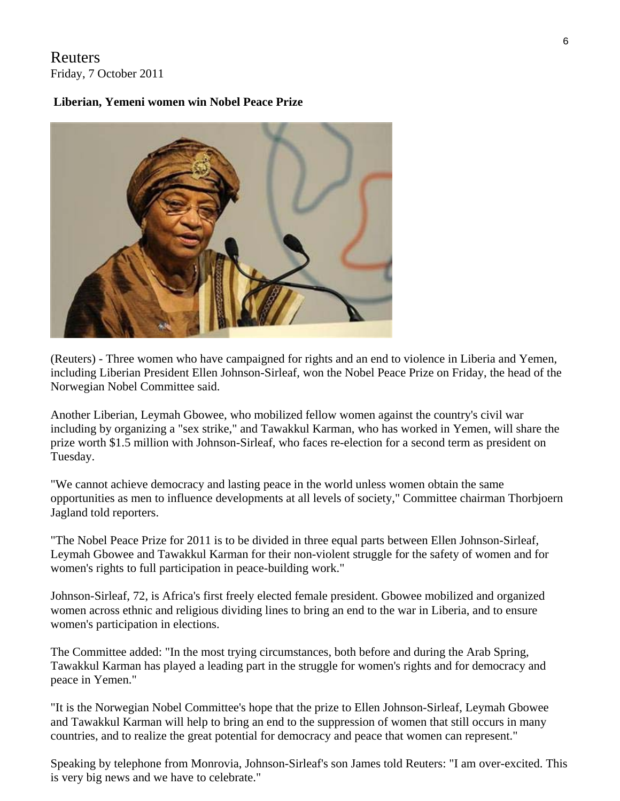### Reuters Friday, 7 October 2011

### **Liberian, Yemeni women win Nobel Peace Prize**



(Reuters) - Three women who have campaigned for rights and an end to violence in Liberia and Yemen, including Liberian President Ellen Johnson-Sirleaf, won the Nobel Peace Prize on Friday, the head of the Norwegian Nobel Committee said.

Another Liberian, Leymah Gbowee, who mobilized fellow women against the country's civil war including by organizing a "sex strike," and Tawakkul Karman, who has worked in Yemen, will share the prize worth \$1.5 million with Johnson-Sirleaf, who faces re-election for a second term as president on Tuesday.

"We cannot achieve democracy and lasting peace in the world unless women obtain the same opportunities as men to influence developments at all levels of society," Committee chairman Thorbjoern Jagland told reporters.

"The Nobel Peace Prize for 2011 is to be divided in three equal parts between Ellen Johnson-Sirleaf, Leymah Gbowee and Tawakkul Karman for their non-violent struggle for the safety of women and for women's rights to full participation in peace-building work."

Johnson-Sirleaf, 72, is Africa's first freely elected female president. Gbowee mobilized and organized women across ethnic and religious dividing lines to bring an end to the war in Liberia, and to ensure women's participation in elections.

The Committee added: "In the most trying circumstances, both before and during the Arab Spring, Tawakkul Karman has played a leading part in the struggle for women's rights and for democracy and peace in Yemen."

"It is the Norwegian Nobel Committee's hope that the prize to Ellen Johnson-Sirleaf, Leymah Gbowee and Tawakkul Karman will help to bring an end to the suppression of women that still occurs in many countries, and to realize the great potential for democracy and peace that women can represent."

Speaking by telephone from Monrovia, Johnson-Sirleaf's son James told Reuters: "I am over-excited. This is very big news and we have to celebrate."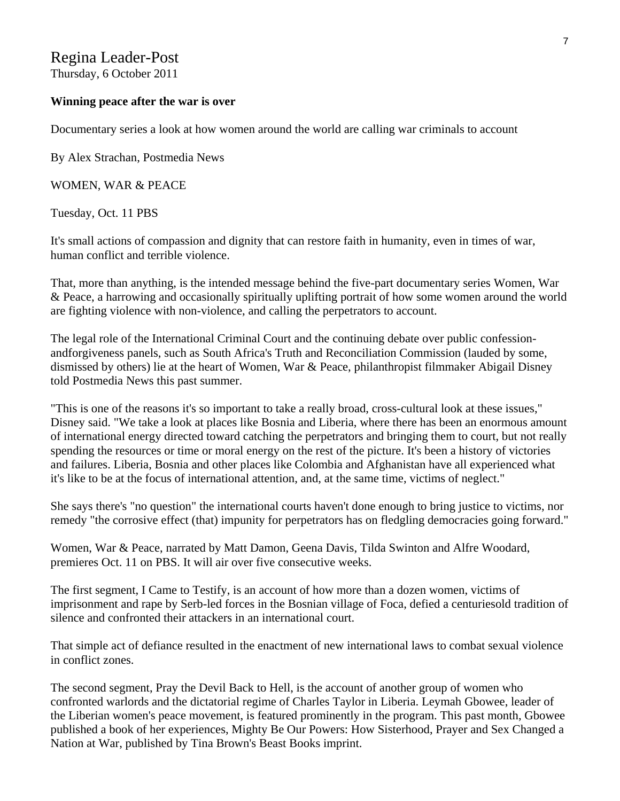### Regina Leader-Post

Thursday, 6 October 2011

#### **Winning peace after the war is over**

Documentary series a look at how women around the world are calling war criminals to account

By Alex Strachan, Postmedia News

WOMEN, WAR & PEACE

Tuesday, Oct. 11 PBS

It's small actions of compassion and dignity that can restore faith in humanity, even in times of war, human conflict and terrible violence.

That, more than anything, is the intended message behind the five-part documentary series Women, War & Peace, a harrowing and occasionally spiritually uplifting portrait of how some women around the world are fighting violence with non-violence, and calling the perpetrators to account.

The legal role of the International Criminal Court and the continuing debate over public confessionandforgiveness panels, such as South Africa's Truth and Reconciliation Commission (lauded by some, dismissed by others) lie at the heart of Women, War & Peace, philanthropist filmmaker Abigail Disney told Postmedia News this past summer.

"This is one of the reasons it's so important to take a really broad, cross-cultural look at these issues," Disney said. "We take a look at places like Bosnia and Liberia, where there has been an enormous amount of international energy directed toward catching the perpetrators and bringing them to court, but not really spending the resources or time or moral energy on the rest of the picture. It's been a history of victories and failures. Liberia, Bosnia and other places like Colombia and Afghanistan have all experienced what it's like to be at the focus of international attention, and, at the same time, victims of neglect."

She says there's "no question" the international courts haven't done enough to bring justice to victims, nor remedy "the corrosive effect (that) impunity for perpetrators has on fledgling democracies going forward."

Women, War & Peace, narrated by Matt Damon, Geena Davis, Tilda Swinton and Alfre Woodard, premieres Oct. 11 on PBS. It will air over five consecutive weeks.

The first segment, I Came to Testify, is an account of how more than a dozen women, victims of imprisonment and rape by Serb-led forces in the Bosnian village of Foca, defied a centuriesold tradition of silence and confronted their attackers in an international court.

That simple act of defiance resulted in the enactment of new international laws to combat sexual violence in conflict zones.

The second segment, Pray the Devil Back to Hell, is the account of another group of women who confronted warlords and the dictatorial regime of Charles Taylor in Liberia. Leymah Gbowee, leader of the Liberian women's peace movement, is featured prominently in the program. This past month, Gbowee published a book of her experiences, Mighty Be Our Powers: How Sisterhood, Prayer and Sex Changed a Nation at War, published by Tina Brown's Beast Books imprint.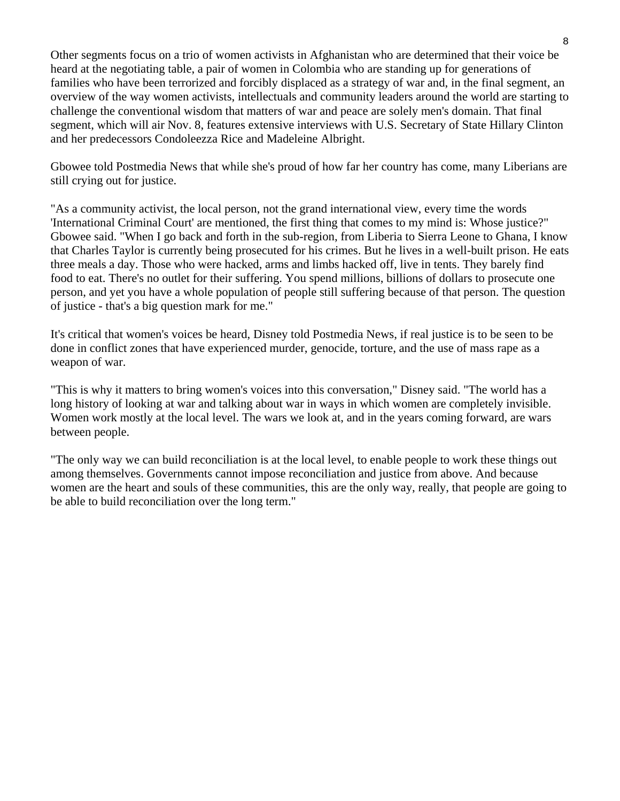Other segments focus on a trio of women activists in Afghanistan who are determined that their voice be heard at the negotiating table, a pair of women in Colombia who are standing up for generations of families who have been terrorized and forcibly displaced as a strategy of war and, in the final segment, an overview of the way women activists, intellectuals and community leaders around the world are starting to challenge the conventional wisdom that matters of war and peace are solely men's domain. That final segment, which will air Nov. 8, features extensive interviews with U.S. Secretary of State Hillary Clinton and her predecessors Condoleezza Rice and Madeleine Albright.

Gbowee told Postmedia News that while she's proud of how far her country has come, many Liberians are still crying out for justice.

"As a community activist, the local person, not the grand international view, every time the words 'International Criminal Court' are mentioned, the first thing that comes to my mind is: Whose justice?" Gbowee said. "When I go back and forth in the sub-region, from Liberia to Sierra Leone to Ghana, I know that Charles Taylor is currently being prosecuted for his crimes. But he lives in a well-built prison. He eats three meals a day. Those who were hacked, arms and limbs hacked off, live in tents. They barely find food to eat. There's no outlet for their suffering. You spend millions, billions of dollars to prosecute one person, and yet you have a whole population of people still suffering because of that person. The question of justice - that's a big question mark for me."

It's critical that women's voices be heard, Disney told Postmedia News, if real justice is to be seen to be done in conflict zones that have experienced murder, genocide, torture, and the use of mass rape as a weapon of war.

"This is why it matters to bring women's voices into this conversation," Disney said. "The world has a long history of looking at war and talking about war in ways in which women are completely invisible. Women work mostly at the local level. The wars we look at, and in the years coming forward, are wars between people.

"The only way we can build reconciliation is at the local level, to enable people to work these things out among themselves. Governments cannot impose reconciliation and justice from above. And because women are the heart and souls of these communities, this are the only way, really, that people are going to be able to build reconciliation over the long term."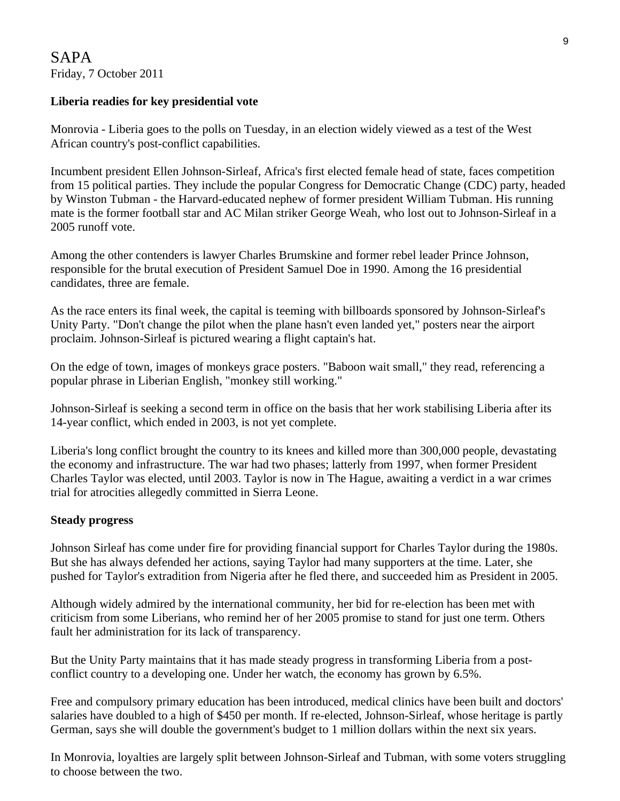### **Liberia readies for key presidential vote**

Monrovia - Liberia goes to the polls on Tuesday, in an election widely viewed as a test of the West African country's post-conflict capabilities.

Incumbent president Ellen Johnson-Sirleaf, Africa's first elected female head of state, faces competition from 15 political parties. They include the popular Congress for Democratic Change (CDC) party, headed by Winston Tubman - the Harvard-educated nephew of former president William Tubman. His running mate is the former football star and AC Milan striker George Weah, who lost out to Johnson-Sirleaf in a 2005 runoff vote.

Among the other contenders is lawyer Charles Brumskine and former rebel leader Prince Johnson, responsible for the brutal execution of President Samuel Doe in 1990. Among the 16 presidential candidates, three are female.

As the race enters its final week, the capital is teeming with billboards sponsored by Johnson-Sirleaf's Unity Party. "Don't change the pilot when the plane hasn't even landed yet," posters near the airport proclaim. Johnson-Sirleaf is pictured wearing a flight captain's hat.

On the edge of town, images of monkeys grace posters. "Baboon wait small," they read, referencing a popular phrase in Liberian English, "monkey still working."

Johnson-Sirleaf is seeking a second term in office on the basis that her work stabilising Liberia after its 14-year conflict, which ended in 2003, is not yet complete.

Liberia's long conflict brought the country to its knees and killed more than 300,000 people, devastating the economy and infrastructure. The war had two phases; latterly from 1997, when former President Charles Taylor was elected, until 2003. Taylor is now in The Hague, awaiting a verdict in a war crimes trial for atrocities allegedly committed in Sierra Leone.

### **Steady progress**

Johnson Sirleaf has come under fire for providing financial support for Charles Taylor during the 1980s. But she has always defended her actions, saying Taylor had many supporters at the time. Later, she pushed for Taylor's extradition from Nigeria after he fled there, and succeeded him as President in 2005.

Although widely admired by the international community, her bid for re-election has been met with criticism from some Liberians, who remind her of her 2005 promise to stand for just one term. Others fault her administration for its lack of transparency.

But the Unity Party maintains that it has made steady progress in transforming Liberia from a postconflict country to a developing one. Under her watch, the economy has grown by 6.5%.

Free and compulsory primary education has been introduced, medical clinics have been built and doctors' salaries have doubled to a high of \$450 per month. If re-elected, Johnson-Sirleaf, whose heritage is partly German, says she will double the government's budget to 1 million dollars within the next six years.

In Monrovia, loyalties are largely split between Johnson-Sirleaf and Tubman, with some voters struggling to choose between the two.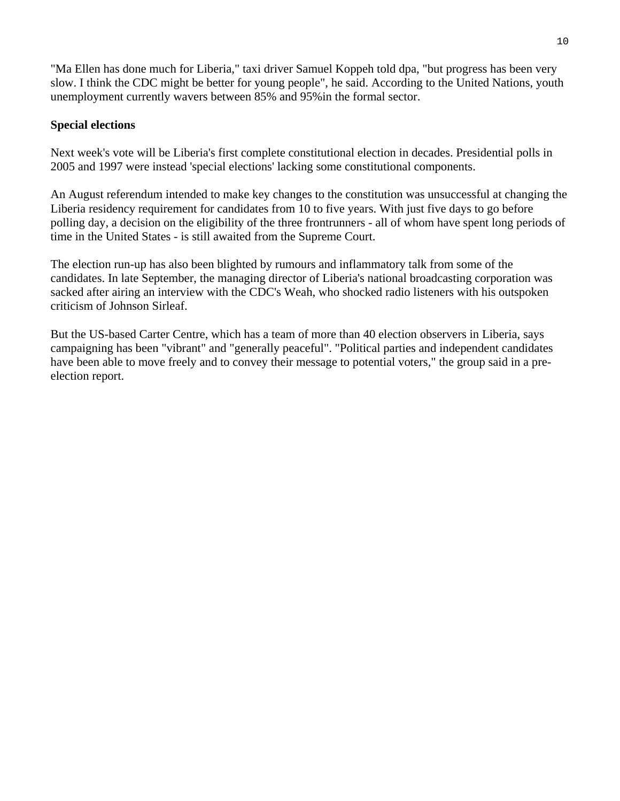"Ma Ellen has done much for Liberia," taxi driver Samuel Koppeh told dpa, "but progress has been very slow. I think the CDC might be better for young people", he said. According to the United Nations, youth unemployment currently wavers between 85% and 95%in the formal sector.

### **Special elections**

Next week's vote will be Liberia's first complete constitutional election in decades. Presidential polls in 2005 and 1997 were instead 'special elections' lacking some constitutional components.

An August referendum intended to make key changes to the constitution was unsuccessful at changing the Liberia residency requirement for candidates from 10 to five years. With just five days to go before polling day, a decision on the eligibility of the three frontrunners - all of whom have spent long periods of time in the United States - is still awaited from the Supreme Court.

The election run-up has also been blighted by rumours and inflammatory talk from some of the candidates. In late September, the managing director of Liberia's national broadcasting corporation was sacked after airing an interview with the CDC's Weah, who shocked radio listeners with his outspoken criticism of Johnson Sirleaf.

But the US-based Carter Centre, which has a team of more than 40 election observers in Liberia, says campaigning has been "vibrant" and "generally peaceful". "Political parties and independent candidates have been able to move freely and to convey their message to potential voters," the group said in a preelection report.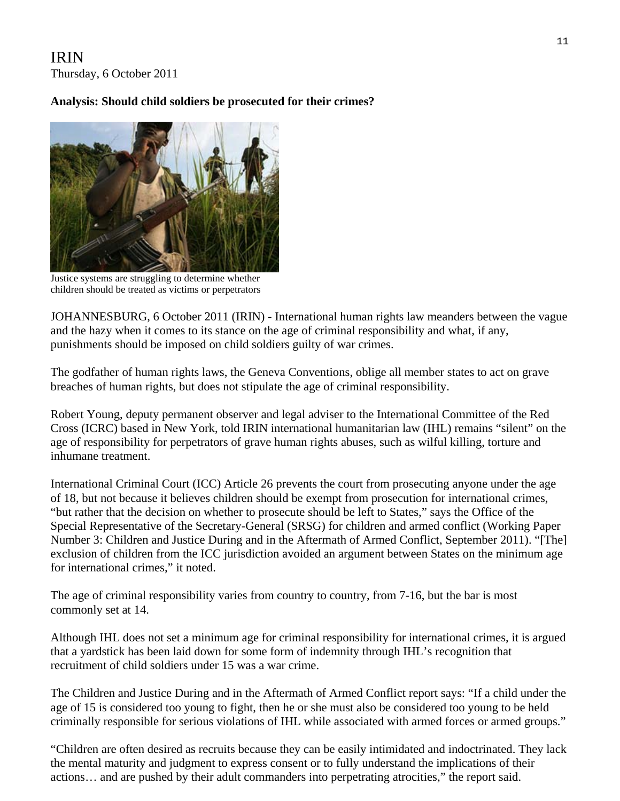IRIN Thursday, 6 October 2011

### **Analysis: Should child soldiers be prosecuted for their crimes?**



Justice systems are struggling to determine whether children should be treated as victims or perpetrators

JOHANNESBURG, 6 October 2011 (IRIN) - International human rights law meanders between the vague and the hazy when it comes to its stance on the age of criminal responsibility and what, if any, punishments should be imposed on child soldiers guilty of war crimes.

The godfather of human rights laws, the Geneva Conventions, oblige all member states to act on grave breaches of human rights, but does not stipulate the age of criminal responsibility.

Robert Young, deputy permanent observer and legal adviser to the International Committee of the Red Cross (ICRC) based in New York, told IRIN international humanitarian law (IHL) remains "silent" on the age of responsibility for perpetrators of grave human rights abuses, such as wilful killing, torture and inhumane treatment.

International Criminal Court (ICC) Article 26 prevents the court from prosecuting anyone under the age of 18, but not because it believes children should be exempt from prosecution for international crimes, "but rather that the decision on whether to prosecute should be left to States," says the Office of the Special Representative of the Secretary-General (SRSG) for children and armed conflict (Working Paper Number 3: Children and Justice During and in the Aftermath of Armed Conflict, September 2011). "[The] exclusion of children from the ICC jurisdiction avoided an argument between States on the minimum age for international crimes," it noted.

The age of criminal responsibility varies from country to country, from 7-16, but the bar is most commonly set at 14.

Although IHL does not set a minimum age for criminal responsibility for international crimes, it is argued that a yardstick has been laid down for some form of indemnity through IHL's recognition that recruitment of child soldiers under 15 was a war crime.

The Children and Justice During and in the Aftermath of Armed Conflict report says: "If a child under the age of 15 is considered too young to fight, then he or she must also be considered too young to be held criminally responsible for serious violations of IHL while associated with armed forces or armed groups."

"Children are often desired as recruits because they can be easily intimidated and indoctrinated. They lack the mental maturity and judgment to express consent or to fully understand the implications of their actions… and are pushed by their adult commanders into perpetrating atrocities," the report said.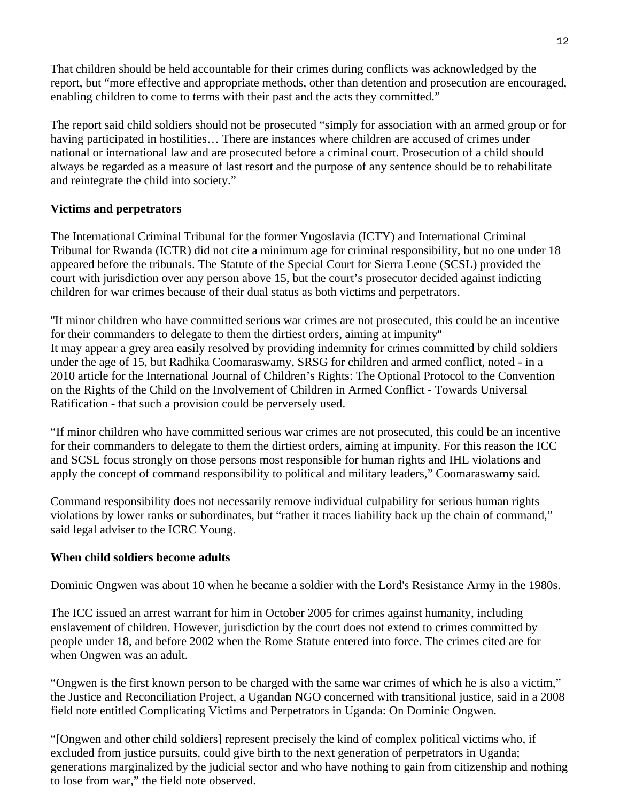That children should be held accountable for their crimes during conflicts was acknowledged by the report, but "more effective and appropriate methods, other than detention and prosecution are encouraged, enabling children to come to terms with their past and the acts they committed."

The report said child soldiers should not be prosecuted "simply for association with an armed group or for having participated in hostilities... There are instances where children are accused of crimes under national or international law and are prosecuted before a criminal court. Prosecution of a child should always be regarded as a measure of last resort and the purpose of any sentence should be to rehabilitate and reintegrate the child into society."

### **Victims and perpetrators**

The International Criminal Tribunal for the former Yugoslavia (ICTY) and International Criminal Tribunal for Rwanda (ICTR) did not cite a minimum age for criminal responsibility, but no one under 18 appeared before the tribunals. The Statute of the Special Court for Sierra Leone (SCSL) provided the court with jurisdiction over any person above 15, but the court's prosecutor decided against indicting children for war crimes because of their dual status as both victims and perpetrators.

''If minor children who have committed serious war crimes are not prosecuted, this could be an incentive for their commanders to delegate to them the dirtiest orders, aiming at impunity'' It may appear a grey area easily resolved by providing indemnity for crimes committed by child soldiers under the age of 15, but Radhika Coomaraswamy, SRSG for children and armed conflict, noted - in a 2010 article for the International Journal of Children's Rights: The Optional Protocol to the Convention on the Rights of the Child on the Involvement of Children in Armed Conflict - Towards Universal Ratification - that such a provision could be perversely used.

"If minor children who have committed serious war crimes are not prosecuted, this could be an incentive for their commanders to delegate to them the dirtiest orders, aiming at impunity. For this reason the ICC and SCSL focus strongly on those persons most responsible for human rights and IHL violations and apply the concept of command responsibility to political and military leaders," Coomaraswamy said.

Command responsibility does not necessarily remove individual culpability for serious human rights violations by lower ranks or subordinates, but "rather it traces liability back up the chain of command," said legal adviser to the ICRC Young.

#### **When child soldiers become adults**

Dominic Ongwen was about 10 when he became a soldier with the Lord's Resistance Army in the 1980s.

The ICC issued an arrest warrant for him in October 2005 for crimes against humanity, including enslavement of children. However, jurisdiction by the court does not extend to crimes committed by people under 18, and before 2002 when the Rome Statute entered into force. The crimes cited are for when Ongwen was an adult.

"Ongwen is the first known person to be charged with the same war crimes of which he is also a victim," the Justice and Reconciliation Project, a Ugandan NGO concerned with transitional justice, said in a 2008 field note entitled Complicating Victims and Perpetrators in Uganda: On Dominic Ongwen.

"[Ongwen and other child soldiers] represent precisely the kind of complex political victims who, if excluded from justice pursuits, could give birth to the next generation of perpetrators in Uganda; generations marginalized by the judicial sector and who have nothing to gain from citizenship and nothing to lose from war," the field note observed.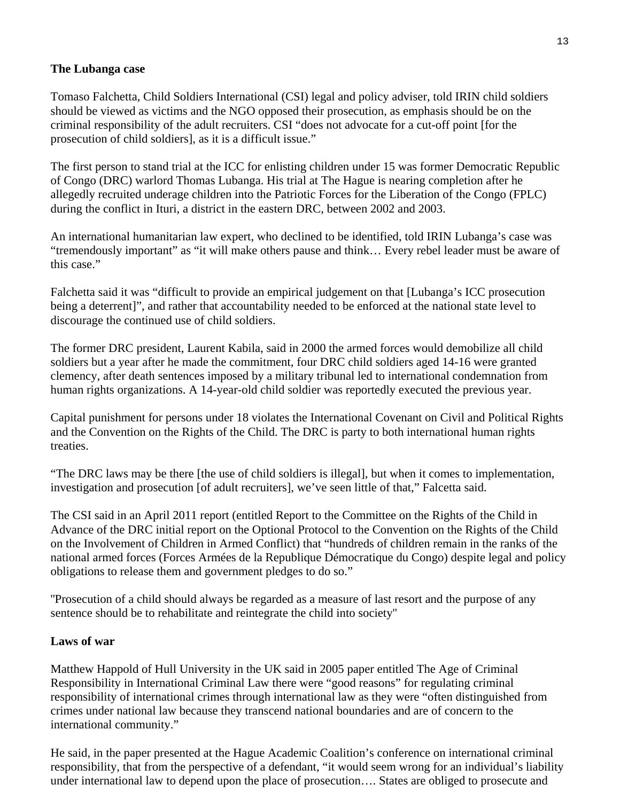### **The Lubanga case**

Tomaso Falchetta, Child Soldiers International (CSI) legal and policy adviser, told IRIN child soldiers should be viewed as victims and the NGO opposed their prosecution, as emphasis should be on the criminal responsibility of the adult recruiters. CSI "does not advocate for a cut-off point [for the prosecution of child soldiers], as it is a difficult issue."

The first person to stand trial at the ICC for enlisting children under 15 was former Democratic Republic of Congo (DRC) warlord Thomas Lubanga. His trial at The Hague is nearing completion after he allegedly recruited underage children into the Patriotic Forces for the Liberation of the Congo (FPLC) during the conflict in Ituri, a district in the eastern DRC, between 2002 and 2003.

An international humanitarian law expert, who declined to be identified, told IRIN Lubanga's case was "tremendously important" as "it will make others pause and think… Every rebel leader must be aware of this case."

Falchetta said it was "difficult to provide an empirical judgement on that [Lubanga's ICC prosecution being a deterrent]", and rather that accountability needed to be enforced at the national state level to discourage the continued use of child soldiers.

The former DRC president, Laurent Kabila, said in 2000 the armed forces would demobilize all child soldiers but a year after he made the commitment, four DRC child soldiers aged 14-16 were granted clemency, after death sentences imposed by a military tribunal led to international condemnation from human rights organizations. A 14-year-old child soldier was reportedly executed the previous year.

Capital punishment for persons under 18 violates the International Covenant on Civil and Political Rights and the Convention on the Rights of the Child. The DRC is party to both international human rights treaties.

"The DRC laws may be there [the use of child soldiers is illegal], but when it comes to implementation, investigation and prosecution [of adult recruiters], we've seen little of that," Falcetta said.

The CSI said in an April 2011 report (entitled Report to the Committee on the Rights of the Child in Advance of the DRC initial report on the Optional Protocol to the Convention on the Rights of the Child on the Involvement of Children in Armed Conflict) that "hundreds of children remain in the ranks of the national armed forces (Forces Armées de la Republique Démocratique du Congo) despite legal and policy obligations to release them and government pledges to do so."

''Prosecution of a child should always be regarded as a measure of last resort and the purpose of any sentence should be to rehabilitate and reintegrate the child into society''

### **Laws of war**

Matthew Happold of Hull University in the UK said in 2005 paper entitled The Age of Criminal Responsibility in International Criminal Law there were "good reasons" for regulating criminal responsibility of international crimes through international law as they were "often distinguished from crimes under national law because they transcend national boundaries and are of concern to the international community."

He said, in the paper presented at the Hague Academic Coalition's conference on international criminal responsibility, that from the perspective of a defendant, "it would seem wrong for an individual's liability under international law to depend upon the place of prosecution…. States are obliged to prosecute and